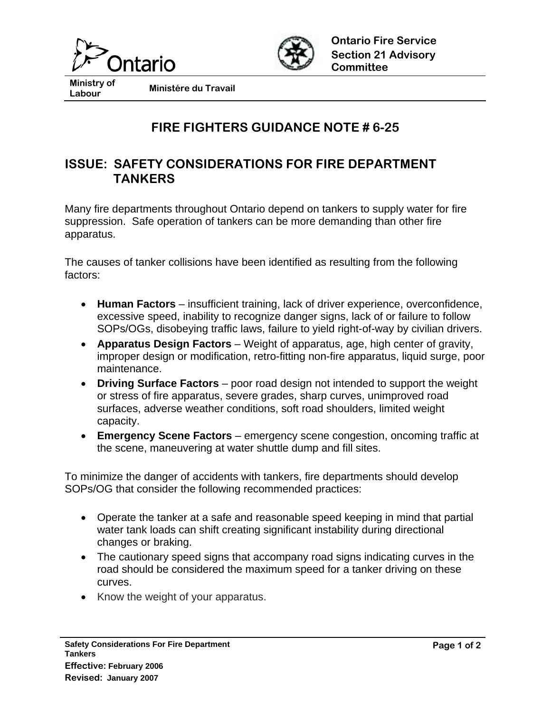



**Ministry of** 

**Labour Ministére du Travail** 

## **FIRE FIGHTERS GUIDANCE NOTE # 6-25**

## **ISSUE: SAFETY CONSIDERATIONS FOR FIRE DEPARTMENT TANKERS**

Many fire departments throughout Ontario depend on tankers to supply water for fire suppression. Safe operation of tankers can be more demanding than other fire apparatus.

The causes of tanker collisions have been identified as resulting from the following factors:

- **Human Factors** insufficient training, lack of driver experience, overconfidence, excessive speed, inability to recognize danger signs, lack of or failure to follow SOPs/OGs, disobeying traffic laws, failure to yield right-of-way by civilian drivers.
- **Apparatus Design Factors** Weight of apparatus, age, high center of gravity, improper design or modification, retro-fitting non-fire apparatus, liquid surge, poor maintenance.
- **Driving Surface Factors** poor road design not intended to support the weight or stress of fire apparatus, severe grades, sharp curves, unimproved road surfaces, adverse weather conditions, soft road shoulders, limited weight capacity.
- **Emergency Scene Factors** emergency scene congestion, oncoming traffic at the scene, maneuvering at water shuttle dump and fill sites.

To minimize the danger of accidents with tankers, fire departments should develop SOPs/OG that consider the following recommended practices:

- Operate the tanker at a safe and reasonable speed keeping in mind that partial water tank loads can shift creating significant instability during directional changes or braking.
- The cautionary speed signs that accompany road signs indicating curves in the road should be considered the maximum speed for a tanker driving on these curves.
- Know the weight of your apparatus.